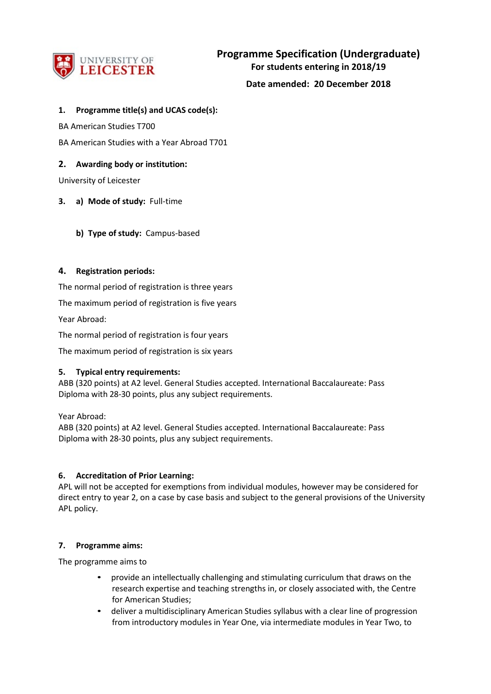

# **1. Programme title(s) and UCAS code(s):**

BA American Studies T700

BA American Studies with a Year Abroad T701

# **2. Awarding body or institution:**

University of Leicester

- **3. a) Mode of study:** Full-time
	- **b) Type of study:** Campus-based

# **4. Registration periods:**

The normal period of registration is three years

The maximum period of registration is five years

Year Abroad:

The normal period of registration is four years

The maximum period of registration is six years

# **5. Typical entry requirements:**

ABB (320 points) at A2 level. General Studies accepted. International Baccalaureate: Pass Diploma with 28-30 points, plus any subject requirements.

Year Abroad:

ABB (320 points) at A2 level. General Studies accepted. International Baccalaureate: Pass Diploma with 28-30 points, plus any subject requirements.

# **6. Accreditation of Prior Learning:**

APL will not be accepted for exemptions from individual modules, however may be considered for direct entry to year 2, on a case by case basis and subject to the general provisions of the University APL policy.

# **7. Programme aims:**

The programme aims to

- provide an intellectually challenging and stimulating curriculum that draws on the research expertise and teaching strengths in, or closely associated with, the Centre for American Studies;
- deliver a multidisciplinary American Studies syllabus with a clear line of progression from introductory modules in Year One, via intermediate modules in Year Two, to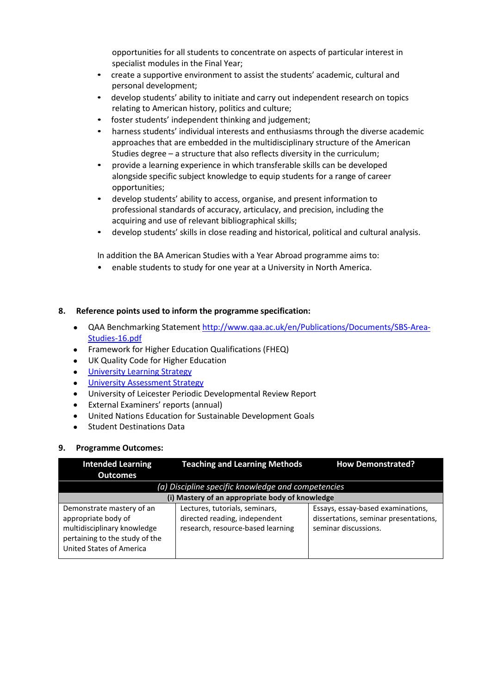opportunities for all students to concentrate on aspects of particular interest in specialist modules in the Final Year;

- create a supportive environment to assist the students' academic, cultural and personal development;
- develop students' ability to initiate and carry out independent research on topics relating to American history, politics and culture;
- foster students' independent thinking and judgement;
- harness students' individual interests and enthusiasms through the diverse academic approaches that are embedded in the multidisciplinary structure of the American Studies degree – a structure that also reflects diversity in the curriculum;
- provide a learning experience in which transferable skills can be developed alongside specific subject knowledge to equip students for a range of career opportunities;
- develop students' ability to access, organise, and present information to professional standards of accuracy, articulacy, and precision, including the acquiring and use of relevant bibliographical skills;
- develop students' skills in close reading and historical, political and cultural analysis.

In addition the BA American Studies with a Year Abroad programme aims to:

• enable students to study for one year at a University in North America.

## **8. Reference points used to inform the programme specification:**

- QAA Benchmarking Statement [http://www.qaa.ac.uk/en/Publications/Documents/SBS-Area-](http://www.qaa.ac.uk/en/Publications/Documents/SBS-Area-Studies-16.pdf)[Studies-16.pdf](http://www.qaa.ac.uk/en/Publications/Documents/SBS-Area-Studies-16.pdf)
- Framework for Higher Education Qualifications (FHEQ)
- UK Quality Code for Higher Education
- University Learnin[g Strategy](https://www2.le.ac.uk/offices/sas2/quality/learnteach)
- [University Assessment Strategy](https://www2.le.ac.uk/offices/sas2/quality/learnteach)
- University of Leicester Periodic Developmental Review Report
- External Examiners' reports (annual)
- United Nations Education for Sustainable Development Goals
- Student Destinations Data

### **9. Programme Outcomes:**

| <b>Intended Learning</b>                                                                                                                             | <b>Teaching and Learning Methods</b>                                                                 | <b>How Demonstrated?</b>                                                                           |
|------------------------------------------------------------------------------------------------------------------------------------------------------|------------------------------------------------------------------------------------------------------|----------------------------------------------------------------------------------------------------|
| <b>Outcomes</b>                                                                                                                                      |                                                                                                      |                                                                                                    |
|                                                                                                                                                      | (a) Discipline specific knowledge and competencies                                                   |                                                                                                    |
|                                                                                                                                                      | (i) Mastery of an appropriate body of knowledge                                                      |                                                                                                    |
| Demonstrate mastery of an<br>appropriate body of<br>multidisciplinary knowledge<br>pertaining to the study of the<br><b>United States of America</b> | Lectures, tutorials, seminars,<br>directed reading, independent<br>research, resource-based learning | Essays, essay-based examinations,<br>dissertations, seminar presentations,<br>seminar discussions. |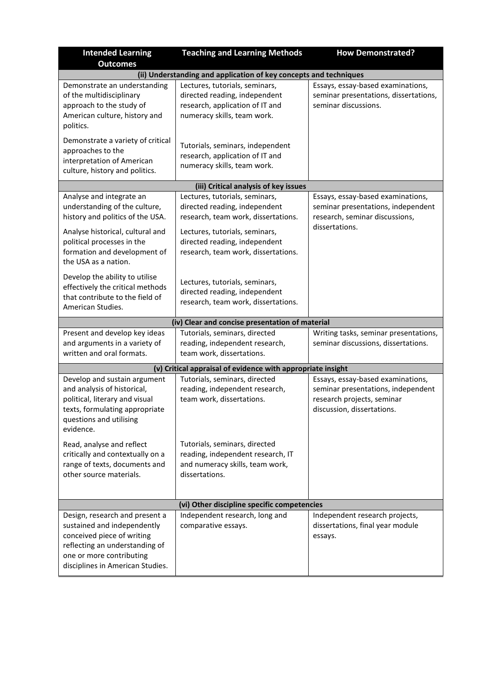| <b>Intended Learning</b><br><b>Outcomes</b>                                                                                                                                                   | <b>Teaching and Learning Methods</b>                                                                                              | <b>How Demonstrated?</b>                                                                                                            |  |  |
|-----------------------------------------------------------------------------------------------------------------------------------------------------------------------------------------------|-----------------------------------------------------------------------------------------------------------------------------------|-------------------------------------------------------------------------------------------------------------------------------------|--|--|
| (ii) Understanding and application of key concepts and techniques                                                                                                                             |                                                                                                                                   |                                                                                                                                     |  |  |
| Demonstrate an understanding<br>of the multidisciplinary<br>approach to the study of<br>American culture, history and<br>politics.                                                            | Lectures, tutorials, seminars,<br>directed reading, independent<br>research, application of IT and<br>numeracy skills, team work. | Essays, essay-based examinations,<br>seminar presentations, dissertations,<br>seminar discussions.                                  |  |  |
| Demonstrate a variety of critical<br>approaches to the<br>interpretation of American<br>culture, history and politics.                                                                        | Tutorials, seminars, independent<br>research, application of IT and<br>numeracy skills, team work.                                |                                                                                                                                     |  |  |
|                                                                                                                                                                                               | (iii) Critical analysis of key issues                                                                                             |                                                                                                                                     |  |  |
| Analyse and integrate an<br>understanding of the culture,<br>history and politics of the USA.                                                                                                 | Lectures, tutorials, seminars,<br>directed reading, independent<br>research, team work, dissertations.                            | Essays, essay-based examinations,<br>seminar presentations, independent<br>research, seminar discussions,<br>dissertations.         |  |  |
| Analyse historical, cultural and<br>political processes in the<br>formation and development of<br>the USA as a nation.                                                                        | Lectures, tutorials, seminars,<br>directed reading, independent<br>research, team work, dissertations.                            |                                                                                                                                     |  |  |
| Develop the ability to utilise<br>effectively the critical methods<br>that contribute to the field of<br>American Studies.                                                                    | Lectures, tutorials, seminars,<br>directed reading, independent<br>research, team work, dissertations.                            |                                                                                                                                     |  |  |
|                                                                                                                                                                                               | (iv) Clear and concise presentation of material                                                                                   |                                                                                                                                     |  |  |
| Present and develop key ideas<br>and arguments in a variety of<br>written and oral formats.                                                                                                   | Tutorials, seminars, directed<br>reading, independent research,<br>team work, dissertations.                                      | Writing tasks, seminar presentations,<br>seminar discussions, dissertations.                                                        |  |  |
|                                                                                                                                                                                               | (v) Critical appraisal of evidence with appropriate insight                                                                       |                                                                                                                                     |  |  |
| Develop and sustain argument<br>and analysis of historical,<br>political, literary and visual<br>texts, formulating appropriate<br>questions and utilising<br>evidence.                       | Tutorials, seminars, directed<br>reading, independent research,<br>team work, dissertations.                                      | Essays, essay-based examinations,<br>seminar presentations, independent<br>research projects, seminar<br>discussion, dissertations. |  |  |
| Read, analyse and reflect<br>critically and contextually on a<br>range of texts, documents and<br>other source materials.                                                                     | Tutorials, seminars, directed<br>reading, independent research, IT<br>and numeracy skills, team work,<br>dissertations.           |                                                                                                                                     |  |  |
| (vi) Other discipline specific competencies                                                                                                                                                   |                                                                                                                                   |                                                                                                                                     |  |  |
| Design, research and present a<br>sustained and independently<br>conceived piece of writing<br>reflecting an understanding of<br>one or more contributing<br>disciplines in American Studies. | Independent research, long and<br>comparative essays.                                                                             | Independent research projects,<br>dissertations, final year module<br>essays.                                                       |  |  |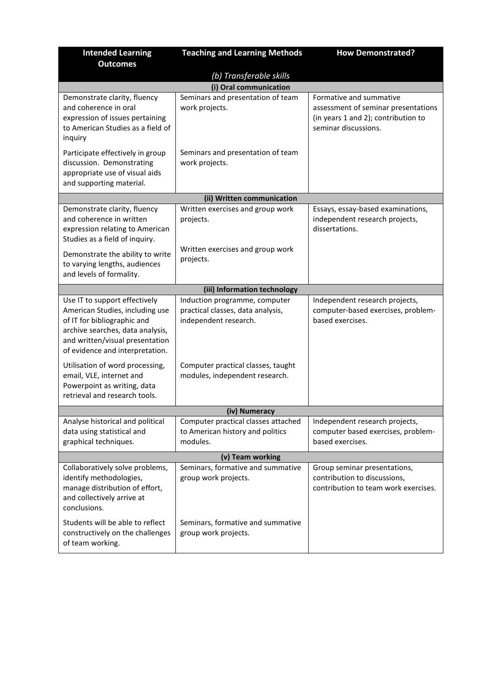| <b>Intended Learning</b>                                                                                                                                                                                  | <b>Teaching and Learning Methods</b>                                                        | <b>How Demonstrated?</b>                                                                                                      |
|-----------------------------------------------------------------------------------------------------------------------------------------------------------------------------------------------------------|---------------------------------------------------------------------------------------------|-------------------------------------------------------------------------------------------------------------------------------|
| <b>Outcomes</b>                                                                                                                                                                                           |                                                                                             |                                                                                                                               |
|                                                                                                                                                                                                           | (b) Transferable skills<br>(i) Oral communication                                           |                                                                                                                               |
| Demonstrate clarity, fluency<br>and coherence in oral<br>expression of issues pertaining<br>to American Studies as a field of<br>inquiry                                                                  | Seminars and presentation of team<br>work projects.                                         | Formative and summative<br>assessment of seminar presentations<br>(in years 1 and 2); contribution to<br>seminar discussions. |
| Participate effectively in group<br>discussion. Demonstrating<br>appropriate use of visual aids<br>and supporting material.                                                                               | Seminars and presentation of team<br>work projects.                                         |                                                                                                                               |
|                                                                                                                                                                                                           | (ii) Written communication                                                                  |                                                                                                                               |
| Demonstrate clarity, fluency<br>and coherence in written<br>expression relating to American<br>Studies as a field of inquiry.                                                                             | Written exercises and group work<br>projects.<br>Written exercises and group work           | Essays, essay-based examinations,<br>independent research projects,<br>dissertations.                                         |
| Demonstrate the ability to write<br>to varying lengths, audiences<br>and levels of formality.                                                                                                             | projects.                                                                                   |                                                                                                                               |
|                                                                                                                                                                                                           | (iii) Information technology                                                                |                                                                                                                               |
| Use IT to support effectively<br>American Studies, including use<br>of IT for bibliographic and<br>archive searches, data analysis,<br>and written/visual presentation<br>of evidence and interpretation. | Induction programme, computer<br>practical classes, data analysis,<br>independent research. | Independent research projects,<br>computer-based exercises, problem-<br>based exercises.                                      |
| Utilisation of word processing,<br>email, VLE, internet and<br>Powerpoint as writing, data<br>retrieval and research tools.                                                                               | Computer practical classes, taught<br>modules, independent research.                        |                                                                                                                               |
|                                                                                                                                                                                                           | (iv) Numeracy                                                                               |                                                                                                                               |
| Analyse historical and political<br>data using statistical and<br>graphical techniques.                                                                                                                   | Computer practical classes attached<br>to American history and politics<br>modules.         | Independent research projects,<br>computer based exercises, problem-<br>based exercises.                                      |
|                                                                                                                                                                                                           | (v) Team working                                                                            |                                                                                                                               |
| Collaboratively solve problems,<br>identify methodologies,<br>manage distribution of effort,<br>and collectively arrive at<br>conclusions.                                                                | Seminars, formative and summative<br>group work projects.                                   | Group seminar presentations,<br>contribution to discussions,<br>contribution to team work exercises.                          |
| Students will be able to reflect<br>constructively on the challenges<br>of team working.                                                                                                                  | Seminars, formative and summative<br>group work projects.                                   |                                                                                                                               |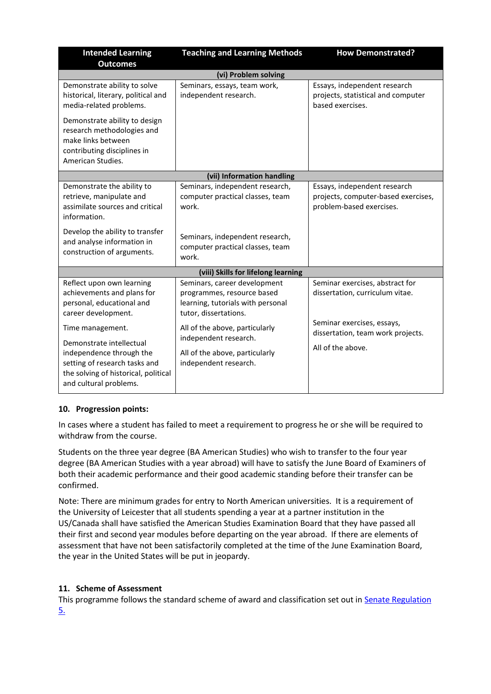| <b>Intended Learning</b><br><b>Outcomes</b>                                                                                                                                             | <b>Teaching and Learning Methods</b>                                                                                                                                                                                  | <b>How Demonstrated?</b>                                                                                                                                   |
|-----------------------------------------------------------------------------------------------------------------------------------------------------------------------------------------|-----------------------------------------------------------------------------------------------------------------------------------------------------------------------------------------------------------------------|------------------------------------------------------------------------------------------------------------------------------------------------------------|
|                                                                                                                                                                                         | (vi) Problem solving                                                                                                                                                                                                  |                                                                                                                                                            |
| Demonstrate ability to solve<br>historical, literary, political and<br>media-related problems.                                                                                          | Seminars, essays, team work,<br>independent research.                                                                                                                                                                 | Essays, independent research<br>projects, statistical and computer<br>based exercises.                                                                     |
| Demonstrate ability to design<br>research methodologies and<br>make links between<br>contributing disciplines in<br>American Studies.                                                   |                                                                                                                                                                                                                       |                                                                                                                                                            |
|                                                                                                                                                                                         | (vii) Information handling                                                                                                                                                                                            |                                                                                                                                                            |
| Demonstrate the ability to<br>retrieve, manipulate and<br>assimilate sources and critical<br>information.                                                                               | Seminars, independent research,<br>computer practical classes, team<br>work.                                                                                                                                          | Essays, independent research<br>projects, computer-based exercises,<br>problem-based exercises.                                                            |
| Develop the ability to transfer<br>and analyse information in<br>construction of arguments.                                                                                             | Seminars, independent research,<br>computer practical classes, team<br>work.                                                                                                                                          |                                                                                                                                                            |
|                                                                                                                                                                                         | (viii) Skills for lifelong learning                                                                                                                                                                                   |                                                                                                                                                            |
| Reflect upon own learning<br>achievements and plans for<br>personal, educational and<br>career development.<br>Time management.<br>Demonstrate intellectual<br>independence through the | Seminars, career development<br>programmes, resource based<br>learning, tutorials with personal<br>tutor, dissertations.<br>All of the above, particularly<br>independent research.<br>All of the above, particularly | Seminar exercises, abstract for<br>dissertation, curriculum vitae.<br>Seminar exercises, essays,<br>dissertation, team work projects.<br>All of the above. |
| setting of research tasks and<br>the solving of historical, political<br>and cultural problems.                                                                                         | independent research.                                                                                                                                                                                                 |                                                                                                                                                            |

# **10. Progression points:**

In cases where a student has failed to meet a requirement to progress he or she will be required to withdraw from the course.

Students on the three year degree (BA American Studies) who wish to transfer to the four year degree (BA American Studies with a year abroad) will have to satisfy the June Board of Examiners of both their academic performance and their good academic standing before their transfer can be confirmed.

Note: There are minimum grades for entry to North American universities. It is a requirement of the University of Leicester that all students spending a year at a partner institution in the US/Canada shall have satisfied the American Studies Examination Board that they have passed all their first and second year modules before departing on the year abroad. If there are elements of assessment that have not been satisfactorily completed at the time of the June Examination Board, the year in the United States will be put in jeopardy.

# **11. Scheme of Assessment**

This programme follows the standard scheme of award and classification set out in [Senate](http://www2.le.ac.uk/offices/sas2/regulations/documents/senatereg5-undergraduates.pdf) [Regulation](http://www2.le.ac.uk/offices/sas2/regulations/documents/senatereg5-undergraduates.pdf) [5.](http://www2.le.ac.uk/offices/sas2/regulations/documents/senatereg5-undergraduates.pdf)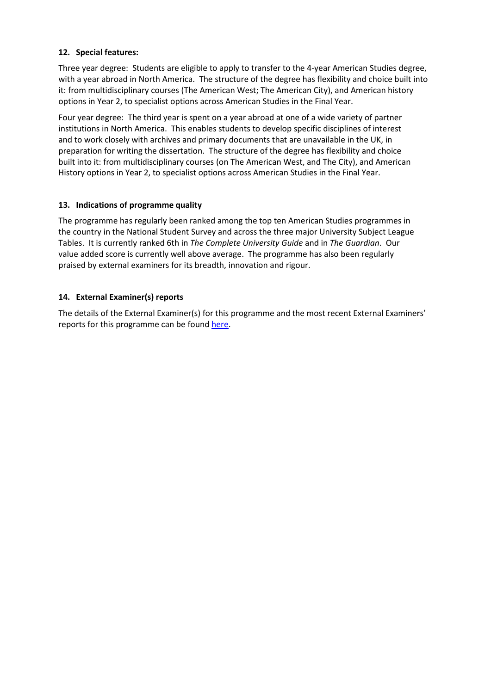## **12. Special features:**

Three year degree: Students are eligible to apply to transfer to the 4-year American Studies degree, with a year abroad in North America. The structure of the degree has flexibility and choice built into it: from multidisciplinary courses (The American West; The American City), and American history options in Year 2, to specialist options across American Studies in the Final Year.

Four year degree: The third year is spent on a year abroad at one of a wide variety of partner institutions in North America. This enables students to develop specific disciplines of interest and to work closely with archives and primary documents that are unavailable in the UK, in preparation for writing the dissertation. The structure of the degree has flexibility and choice built into it: from multidisciplinary courses (on The American West, and The City), and American History options in Year 2, to specialist options across American Studies in the Final Year.

# **13. Indications of programme quality**

The programme has regularly been ranked among the top ten American Studies programmes in the country in the National Student Survey and across the three major University Subject League Tables. It is currently ranked 6th in *The Complete University Guide* and in *The Guardian*. Our value added score is currently well above average. The programme has also been regularly praised by external examiners for its breadth, innovation and rigour.

## **14. External Examiner(s) reports**

The details of the External Examiner(s) for this programme and the most recent External Examiners' reports for this programme can be foun[d here.](https://exampapers.le.ac.uk/xmlui/)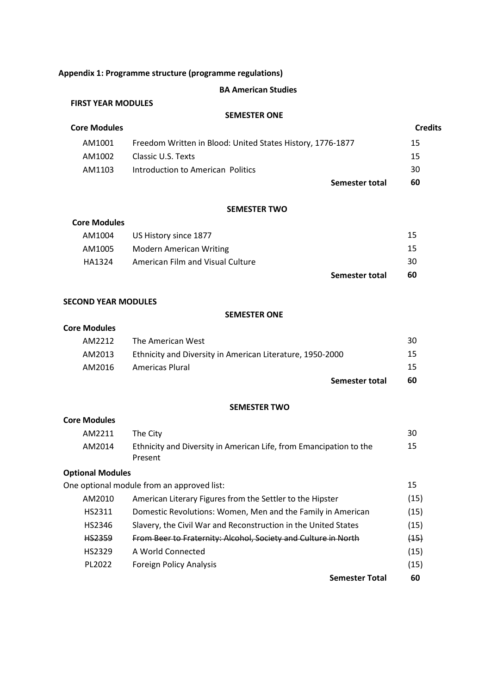| Appendix 1: Programme structure (programme regulations) |  |  |  |
|---------------------------------------------------------|--|--|--|
|---------------------------------------------------------|--|--|--|

| <b>FIRST YEAR MODULES</b> | <b>SEMESTER ONE</b>                                        |                |
|---------------------------|------------------------------------------------------------|----------------|
| <b>Core Modules</b>       |                                                            | <b>Credits</b> |
| AM1001                    | Freedom Written in Blood: United States History, 1776-1877 | 15             |
| AM1002                    | Classic U.S. Texts                                         | 15             |
| AM1103                    | Introduction to American Politics                          | 30             |
|                           | Semester total                                             | 60             |

**BA American Studies**

#### **SEMESTER TWO**

# **Core Modules** AM1004 US History since 1877 15 AM1005 Modern American Writing 15 HA1324 American Film and Visual Culture 30 and 30 **Semester total 60**

## **SECOND YEAR MODULES**

#### **SEMESTER ONE**

### **Core Modules**

|        | Semester total                                            | 60 |
|--------|-----------------------------------------------------------|----|
| AM2016 | Americas Plural                                           | 15 |
| AM2013 | Ethnicity and Diversity in American Literature, 1950-2000 | 15 |
| AM2212 | The American West                                         | 30 |

#### **SEMESTER TWO**

# **Core Modules**

| AM2211 | The City                                                           | 30 |
|--------|--------------------------------------------------------------------|----|
| AM2014 | Ethnicity and Diversity in American Life, from Emancipation to the | 15 |
|        | Present                                                            |    |

## **Optional Modules**

| One optional module from an approved list: |                                                                | 15   |
|--------------------------------------------|----------------------------------------------------------------|------|
| AM2010                                     | American Literary Figures from the Settler to the Hipster      | (15) |
| HS2311                                     | Domestic Revolutions: Women, Men and the Family in American    | (15) |
| HS2346                                     | Slavery, the Civil War and Reconstruction in the United States | (15) |
| HS2359                                     | From Beer to Fraternity: Alcohol, Society and Culture in North | (15) |
| HS2329                                     | A World Connected                                              | (15) |
| PL2022                                     | <b>Foreign Policy Analysis</b>                                 | (15) |
|                                            | <b>Semester Total</b>                                          | 60   |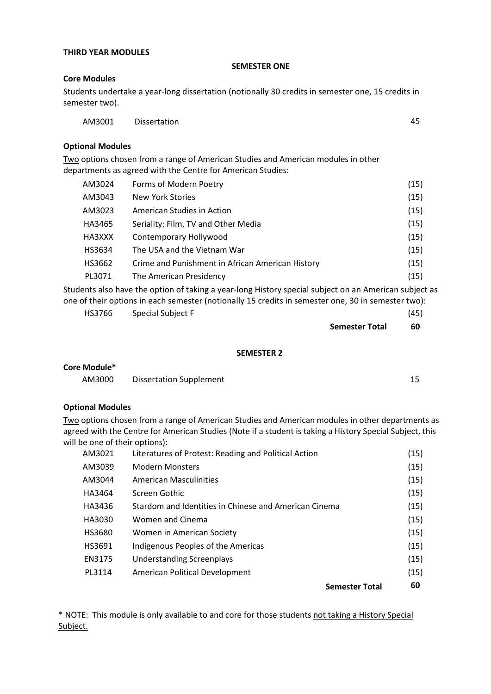#### **THIRD YEAR MODULES**

#### **SEMESTER ONE**

#### **Core Modules**

Students undertake a year-long dissertation (notionally 30 credits in semester one, 15 credits in semester two).

| AM3001 | Dissertation | 45 |
|--------|--------------|----|
|--------|--------------|----|

#### **Optional Modules**

Two options chosen from a range of American Studies and American modules in other departments as agreed with the Centre for American Studies:

| AM3024 | Forms of Modern Poetry                           | (15) |
|--------|--------------------------------------------------|------|
| AM3043 | New York Stories                                 | (15) |
| AM3023 | American Studies in Action                       | (15) |
| HA3465 | Seriality: Film, TV and Other Media              | (15) |
| HA3XXX | Contemporary Hollywood                           | (15) |
| HS3634 | The USA and the Vietnam War                      | (15) |
| HS3662 | Crime and Punishment in African American History | (15) |
| PL3071 | The American Presidency                          | (15) |
|        |                                                  |      |

Students also have the option of taking a year-long History special subject on an American subject as one of their options in each semester (notionally 15 credits in semester one, 30 in semester two):

| HS3766 | Special Subject F |                       | (45) |
|--------|-------------------|-----------------------|------|
|        |                   | <b>Semester Total</b> | 60   |

#### **SEMESTER 2**

| Core Module* |                                |  |
|--------------|--------------------------------|--|
| AM3000       | <b>Dissertation Supplement</b> |  |

#### **Optional Modules**

Two options chosen from a range of American Studies and American modules in other departments as agreed with the Centre for American Studies (Note if a student is taking a History Special Subject, this will be one of their options):

|        | <b>Semester Total</b>                                 | 60   |
|--------|-------------------------------------------------------|------|
| PL3114 | American Political Development                        | (15) |
| EN3175 | <b>Understanding Screenplays</b>                      | (15) |
| HS3691 | Indigenous Peoples of the Americas                    | (15) |
| HS3680 | Women in American Society                             | (15) |
| HA3030 | Women and Cinema                                      | (15) |
| HA3436 | Stardom and Identities in Chinese and American Cinema | (15) |
| HA3464 | Screen Gothic                                         | (15) |
| AM3044 | <b>American Masculinities</b>                         | (15) |
| AM3039 | <b>Modern Monsters</b>                                | (15) |
| AM3021 | Literatures of Protest: Reading and Political Action  | (15) |

\* NOTE: This module is only available to and core for those students not taking a History Special Subject.